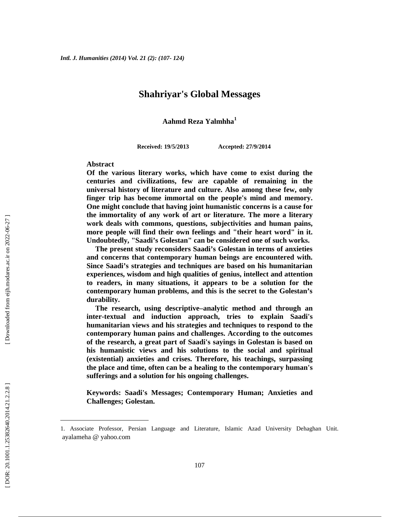### **Shahriyar's Global Messages**

**Aahmd Reza Yalmhha<sup>1</sup>**

**Received: 19/5/2013 Accepted: 27/9/2014**

#### **Abstract**

**Of the various literary works, which have come to exist during the centuries and civilizations, few are capable of remaining in the universal history of literature and culture. Also among these few, only finger trip has become immortal on the people's mind and memory. One might conclude that having joint humanistic concerns is a cause for the immortality of any work of art or literature. The more a literary work deals with commons, questions, subjectivities and human pains, more people will find their own feelings and "their heart word" in it. Undoubtedly, "Saadi's Golestan" can be considered one of such works.**

**The present study reconsiders Saadi's Golestan in terms of anxieties and concerns that contemporary human beings are encountered with. Since Saadi's strategies and techniques are based on his humanitarian experiences, wisdom and high qualities of genius, intellect and attention to readers, in many situations, it appears to be a solution for the contemporary human problems, and this is the secret to the Golestan's durability.**

**The research, using descriptive–analytic method and through an inter-textual and induction approach, tries to explain Saadi's humanitarian views and his strategies and techniques to respond to the contemporary human pains and challenges. According to the outcomes of the research, a great part of Saadi's sayings in Golestan is based on his humanistic views and his solutions to the social and spiritual (existential) anxieties and crises. Therefore, his teachings, surpassing the place and time, often can be a healing to the contemporary human's sufferings and a solution for his ongoing challenges.**

**Keywords: Saadi's Messages; Contemporary Human; Anxieties and Challenges; Golestan.**

<sup>1.</sup> Associate Professor, Persian Language and Literature, Islamic Azad University Dehaghan Unit. ayalameha @ yahoo.com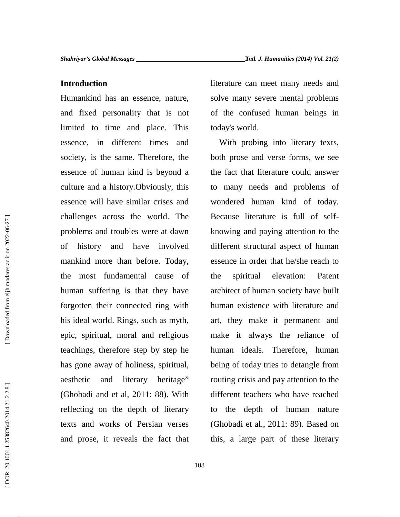### **Introduction**

Humankind has an essence, nature, and fixed personality that is not limited to time and place. This essence, in different times and society, is the same. Therefore, the essence of human kind is beyond a culture and a history.Obviously, this essence will have similar crises and challenges across the world. The problems and troubles were at dawn of history and have involved mankind more than before. Today, the most fundamental cause of human suffering is that they have forgotten their connected ring with his ideal world. Rings, such as myth, epic, spiritual, moral and religious teachings, therefore step by step he has gone away of holiness, spiritual, aesthetic and literary heritage" (Ghobadi and et al, 2011: 88). With reflecting on the depth of literary texts and works of Persian verses and prose, it reveals the fact that

literature can meet many needs and solve many severe mental problems of the confused human beings in today's world.

With probing into literary texts, both prose and verse forms, we see the fact that literature could answer to many needs and problems of wondered human kind of today. Because literature is full of self knowing and paying attention to the different structural aspect of human essence in order that he/she reach to spiritual elevation: Patent architect of human society have built human existence with literature and art, they make it permanent and make it always the reliance of human ideals. Therefore, human being of today tries to detangle from routing crisis and pay attention to the different teachers who have reached to the depth of human nature (Ghobadi et al., 2011: 89). Based on this, a large part of these literary

Downloaded from eijh.modares.ac.ir on 2022-06-27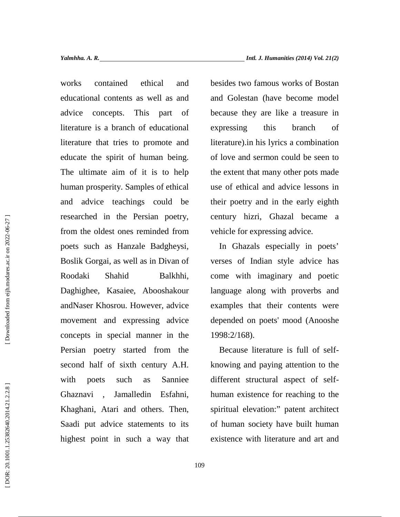works contained ethical and educational contents as well as and advice concepts. This part of literature is a branch of educational literature that tries to promote and educate the spirit of human being. The ultimate aim of it is to help human prosperity. Samples of ethical and advice teachings could be researched in the Persian poetry, from the oldest ones reminded from poets such as Hanzale Badgheysi, Boslik Gorgai, as well as in Divan of Roodaki Shahid Balkhhi, Daghighee, Kasaiee, Abooshakour andNaser Khosrou. However, advice movement and expressing advice concepts in special manner in the Persian poetry started from the second half of sixth century A.H. with poets such as Sanniee Ghaznavi , Jamalledin Esfahni, Khaghani, Atari and others. Then, Saadi put advice statements to its highest point in such a way that

besides two famous works of Bostan and Golestan (have become model because they are like a treasure in expressing this branch of literature).in his lyrics a combination of love and sermon could be seen to the extent that many other pots made use of ethical and advice lessons in their poetry and in the early eighth century hizri, Ghazal became a vehicle for expressing advice.

In Ghazals especially in poets' verses of Indian style advice has come with imaginary and poetic language along with proverbs and examples that their contents were depended on poets' mood (Anooshe 1998:2/168).

Because literature is full of self knowing and paying attention to the different structural aspect of self human existence for reaching to the spiritual elevation:" patent architect of human society have built human existence with literature and art and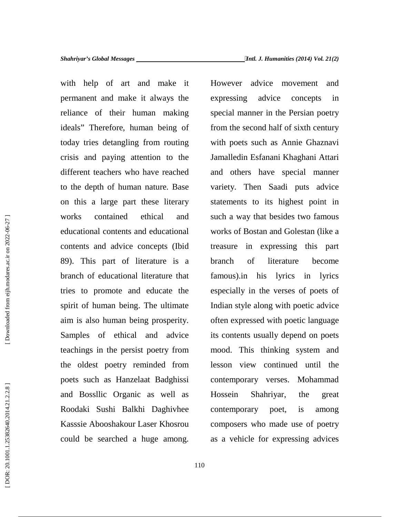with help of art and make it permanent and make it always the reliance of their human making ideals" Therefore, human being of today tries detangling from routing crisis and paying attention to the different teachers who have reached to the depth of human nature. Base on this a large part these literary works contained ethical and educational contents and educational contents and advice concepts (Ibid 89). This part of literature is a branch of educational literature that tries to promote and educate the spirit of human being. The ultimate aim is also human being prosperity. Samples of ethical and advice teachings in the persist poetry from the oldest poetry reminded from poets such as Hanzelaat Badghissi and Bossllic Organic as well as Roodaki Sushi Balkhi Daghivhee Kasssie Abooshakour Laser Khosrou could be searched a huge among.

However advice movement and expressing advice concepts in special manner in the Persian poetry from the second half of sixth century with poets such as Annie Ghaznavi Jamalledin Esfanani Khaghani Attari and others have special manner variety. Then Saadi puts advice statements to its highest point in such a way that besides two famous works of Bostan and Golestan (like a in expressing this part of literature become famous).in his lyrics in lyrics especially in the verses of poets of Indian style along with poetic advice often expressed with poetic language its contents usually depend on poets mood. This thinking system and lesson view continued until the contemporary verses. Mohammad Shahriyar, the great contemporary poet, is among composers who made use of poetry as a vehicle for expressing advices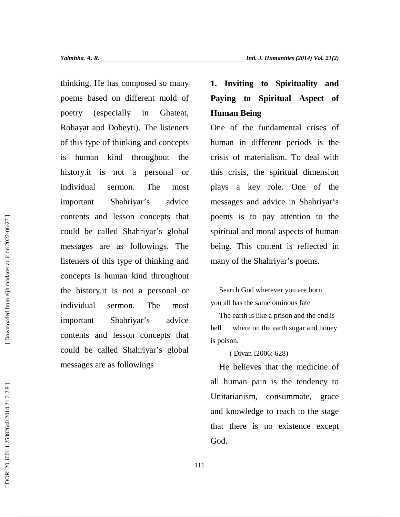thinking. He has composed so many **1. Inviting to Spirituality and** poems based on different mold of poetry (especially in Ghateat, Robayat and Dobeyti). The listeners of this type of thinking and concepts is human kind throughout the history.it is not a personal or individual sermon. The most important Shahriyar's advice contents and lesson concepts that could be called Shahriyar's global messages are as followings. The listeners of this type of thinking and concepts is human kind throughout the history.it is not a personal or individual sermon. The most important Shahriyar's advice hell contents and lesson concepts that could be called Shahriyar's global thinking. He has composed so many **1. Inviting to Spirituality and** poems based on different mold of **Paying to Spiritual Aspect of** cheeting end composition. The listeners of the fundamental crises of this type of this

# **Paying to Spiritual Aspect of Human Being**

One of the fundamental crises of human in different periods is the crisis of materialism. To deal with this crisis, the spiritual dimension plays a key role. One of the messages and advice in Shahriyar's poems is to pay attention to the spiritual and moral aspects of human being. This content is reflected in many of the Shahriyar's poems.

Search God wherever you are born you all has the same ominous fate

The earth is like a prison and the end is where on the earth sugar and honey is poison.

(Divan 2006: 628)

He believes that the medicine of all human pain is the tendency to Unitarianism, consummate, grace and knowledge to reach to the stage that there is no existence except God.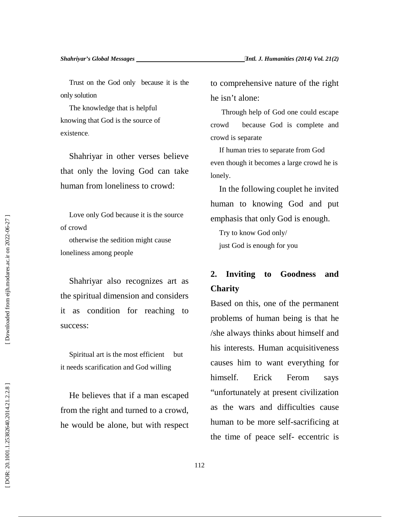Trust on the God only because it is the only solution

The knowledge that is helpful knowing that God is the source of existence.

Shahriyar in other verses believe that only the loving God can take human from loneliness to crowd:

Love only God because it is the source of crowd

otherwise the sedition might cause loneliness among people

Shahriyar also recognizes art as the spiritual dimension and considers it as condition for reaching to success:

Spiritual art is the most efficient but it needs scarification and God willing

He believes that if a man escaped from the right and turned to a crowd, he would be alone, but with respect to comprehensive nature of the right he isn't alone:

Through help of God one could escape crowd because God is complete and crowd is separate

If human tries to separate from God even though it becomes a large crowd he is lonely.

In the following couplet he invited human to knowing God and put emphasis that only God is enough.

Try to know God only/ just God is enough for you

## **2. Inviting to Goodness and Charity**

Based on this, one of the permanent problems of human being is that he /she always thinks about himself and his interests. Human acquisitiveness causes him to want everything for himself. Erick Ferom says "unfortunately at present civilization as the wars and difficulties cause human to be more self-sacrificing at the time of peace self- eccentric is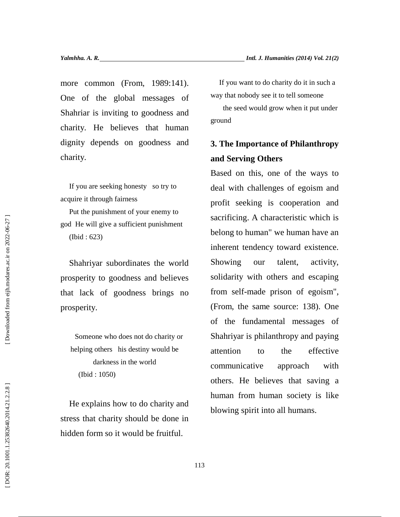more common (From, 1989:141). One of the global messages of Shahriar is inviting to goodness and charity. He believes that human dignity depends on goodness and charity.

If you are seeking honesty so try to acquire it through fairness

Put the punishment of your enemy to god He will give a sufficient punishment (Ibid : 623)

Shahriyar subordinates the world prosperity to goodness and believes that lack of goodness brings no prosperity.

Someone who does not do charity or helping others his destiny would be darkness in the world (Ibid : 1050)

He explains how to do charity and stress that charity should be done in hidden form so it would be fruitful.

If you want to do charity do it in such a way that nobody see it to tell someone

the seed would grow when it put under ground

### **3. The Importance of Philanthropy and Serving Others**

Based on this, one of the ways to deal with challenges of egoism and profit seeking is cooperation and sacrificing. A characteristic which is belong to human" we human have an inherent tendency toward existence. Showing our talent, activity, solidarity with others and escaping from self-made prison of egoism", (From, the same source: 138). One of the fundamental messages of Shahriyar is philanthropy and paying attention to the effective communicative approach with others. He believes that saving a human from human society is like blowing spirit into all humans.

Downloaded from eijh.modares.ac.ir on 2022-06-27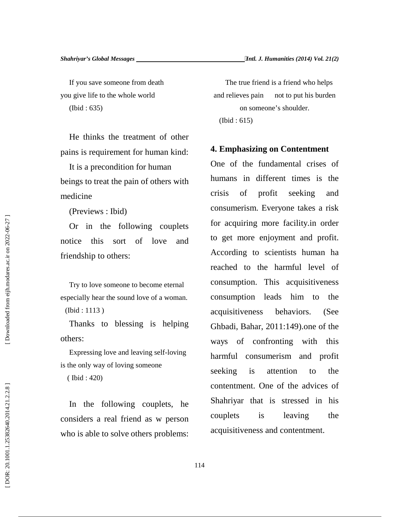If you save someone from death you give life to the whole world (Ibid : 635)

He thinks the treatment of other pains is requirement for human kind:

It is a precondition for human beings to treat the pain of others with medicine

(Previews : Ibid)

Or in the following couplets notice this sort of love and friendship to others:

Try to love someone to become eternal especially hear the sound love of a woman. (Ibid : 1113 )

Thanks to blessing is helping others:

Expressing love and leaving self-loving is the only way of loving someone

( Ibid : 420)

In the following couplets, he considers a real friend as w person who is able to solve others problems:

The true friend is a friend who helps and relieves pain not to put his burden on someone's shoulder. (Ibid : 615)

**4. Emphasizing on Contentment**

One of the fundamental crises of humans in different times is the crisis of profit seeking and consumerism. Everyone takes a risk for acquiring more facility.in order to get more enjoyment and profit. According to scientists human ha reached to the harmful level of consumption. This acquisitiveness consumption leads him to the acquisitiveness behaviors. (See Ghbadi, Bahar, 2011:149).one of the ways of confronting with this harmful consumerism and profit seeking is attention to the contentment. One of the advices of Shahriyar that is stressed in his couplets is leaving the acquisitiveness and contentment.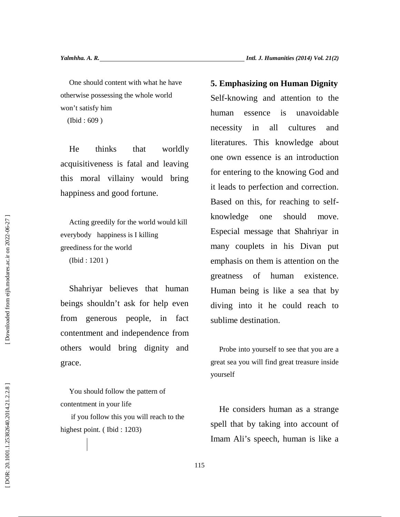One should content with what he have otherwise possessing the whole world won't satisfy him (Ibid : 609 )

He thinks that worldly acquisitiveness is fatal and leaving this moral villainy would bring happiness and good fortune.

Acting greedily for the world would kill everybody happiness is I killing greediness for the world (Ibid : 1201 )

Shahriyar believes that human beings shouldn't ask for help even from generous people, in fact contentment and independence from others would bring dignity and grace.

You should follow the pattern of contentment in your life

if you follow this you will reach to the

One should content with what he have<br>
one should content with what he have<br>
won't satisfy him<br>
work is satisfy him<br>
work is the second that the measure of the measure of the measure of<br>
(Did : 609) human essence is an intr Self-knowing and attention to the human essence is unavoidable necessity in all cultures and literatures. This knowledge about one own essence is an introduction for entering to the knowing God and it leads to perfection and correction. Based on this, for reaching to self knowledge one should move. Especial message that Shahriyar in many couplets in his Divan put emphasis on them is attention on the greatness of human existence. Human being is like a sea that by diving into it he could reach to sublime destination.

Probe into yourself to see that you are a great sea you will find great treasure inside yourself

He considers human as a strange spell that by taking into account of Imam Ali's speech, human is like a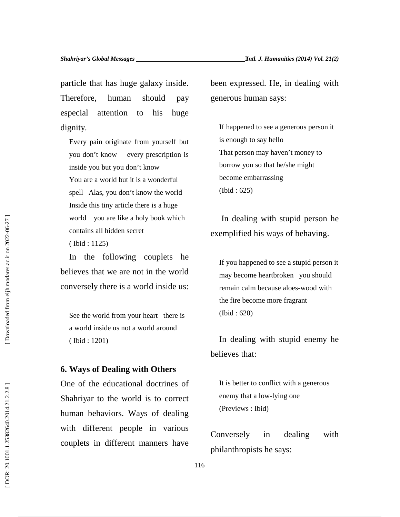particle that has huge galaxy inside. Therefore, human should pay especial attention to his huge dignity.

Every pain originate from yourself but you don't know every prescription is inside you but you don't know You are a world but it is a wonderful spell Alas, you don't know the world Inside this tiny article there is a huge world you are like a holy book which contains all hidden secret ( Ibid : 1125)

In the following couplets he believes that we are not in the world conversely there is a world inside us:

See the world from your heart there is a world inside us not a world around ( Ibid : 1201)

### **6. Ways of Dealing with Others**

One of the educational doctrines of Shahriyar to the world is to correct human behaviors. Ways of dealing with different people in various world you are like a holy book which<br>
contains all hidden secret<br>
(bid : 1125)<br>
In the following couplets he<br>
believes that we are not in the world<br>
conversely there is a world inside us:<br>
See the world from your heart the

been expressed. He, in dealing with generous human says:

If happened to see a generous person it is enough to say hello That person may haven't money to borrow you so that he/she might become embarrassing (Ibid : 625)

In dealing with stupid person he exemplified his ways of behaving.

If you happened to see a stupid person it may become heartbroken you should remain calm because aloes-wood with the fire become more fragrant (Ibid : 620)

In dealing with stupid enemy he believes that:

It is better to conflict with a generous enemy that a low-lying one (Previews : Ibid)

couplets in different manners have<br>philanthropists he says: Conversely in dealing with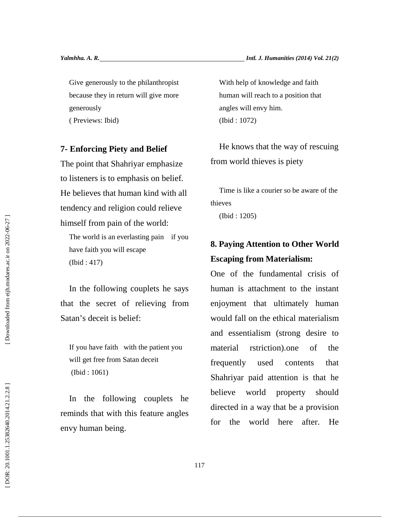Give generously to the philanthropist because they in return will give more generously

( Previews: Ibid)

#### **7- Enforcing Piety and Belief**

The point that Shahriyar emphasize to listeners is to emphasis on belief. He believes that human kind with all tendency and religion could relieve himself from pain of the world:

The world is an everlasting pain if you have faith you will escape (Ibid : 417)

In the following couplets he says that the secret of relieving from Satan's deceit is belief:

If you have faith with the patient you will get free from Satan deceit (Ibid : 1061)

In the following couplets he reminds that with this feature angles envy human being.

With help of knowledge and faith human will reach to a position that angles will envy him. (Ibid : 1072)

He knows that the way of rescuing from world thieves is piety

Time is like a courier so be aware of the thieves

(Ibid : 1205)

### **8. Paying Attention to Other World Escaping from Materialism:**

One of the fundamental crisis of human is attachment to the instant enjoyment that ultimately human would fall on the ethical materialism and essentialism (strong desire to rstriction).one of the frequently used contents that Shahriyar paid attention is that he world property should directed in a way that be a provision for the world here after. He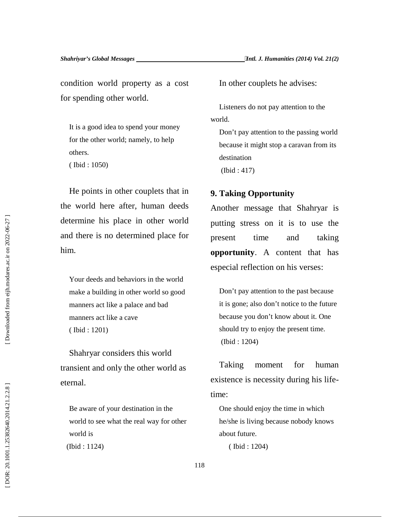condition world property as a cost for spending other world.

It is a good idea to spend your money for the other world; namely, to help others. ( Ibid : 1050)

He points in other couplets that in the world here after, human deeds determine his place in other world and there is no determined place for him.

Your deeds and behaviors in the world make a building in other world so good manners act like a palace and bad manners act like a cave ( Ibid : 1201) determine his place in other world<br>
and there is no determined place for<br>
time<br>
inn.<br> **opportunity.** A<br>
especial reflectic<br>
Your decds and behaviors in the world<br>
make a building in other world so good<br>
(Did : 1204)<br>
to ma

Shahryar considers this world transient and only the other world as eternal.

Be aware of your destination in the world to see what the real way for other world is (Ibid : 1124)

In other couplets he advises:

Listeners do not pay attention to the world.

Don't pay attention to the passing world because it might stop a caravan from its destination (Ibid : 417)

### **9. Taking Opportunity**

Another message that Shahryar is putting stress on it is to use the present time and taking **opportunity**. A content that has especial reflection on his verses:

Don't pay attention to the past because it is gone; also don't notice to the future because you don't know about it. One should try to enjoy the present time. (Ibid : 1204)

Taking moment for human existence is necessity during his lifetime:

One should enjoy the time in which he/she is living because nobody knows about future.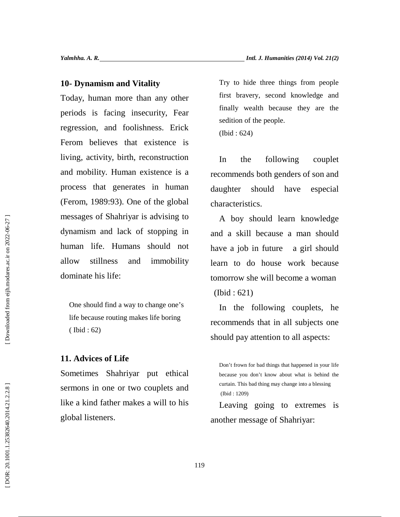### **10- Dynamism and Vitality**

Today, human more than any other periods is facing insecurity, Fear regression, and foolishness. Erick Ferom believes that existence is living, activity, birth, reconstruction and mobility. Human existence is a process that generates in human (Ferom, 1989:93). One of the global messages of Shahriyar is advising to dynamism and lack of stopping in human life. Humans should not allow stillness and immobility dominate his life:

One should find a way to change one's life because routing makes life boring ( Ibid : 62)

### **11. Advices of Life**

Sometimes Shahriyar put ethical sermons in one or two couplets and like a kind father makes a will to his global listeners.

Try to hide three things from people first bravery, second knowledge and finally wealth because they are the sedition of the people. (Ibid : 624)

the following couplet recommends both genders of son and should have especial characteristics.

A boy should learn knowledge and a skill because a man should have a job in future a girl should learn to do house work because tomorrow she will become a woman (Ibid : 621)

In the following couplets, he recommends that in all subjects one should pay attention to all aspects:

Leaving going to extremes is another message of Shahriyar:

Don't frown for bad things that happened in your life because you don't know about what is behind the curtain. This bad thing may change into a blessing (Ibid : 1209)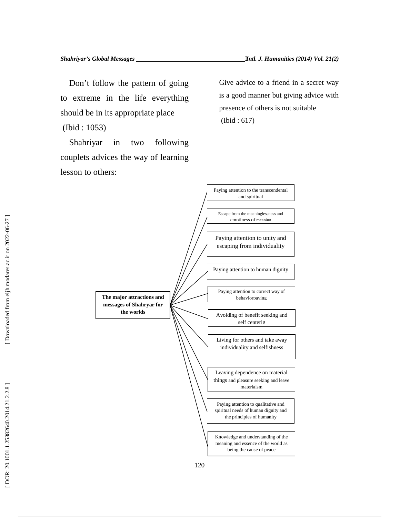Don't follow the pattern of going to extreme in the life everything should be in its appropriate place

(Ibid : 1053)

Shahriyar in two following couplets advices the way of learning lesson to others:

Give advice to a friend in a secret way is a good manner but giving advice with presence of others is not suitable (Ibid : 617)

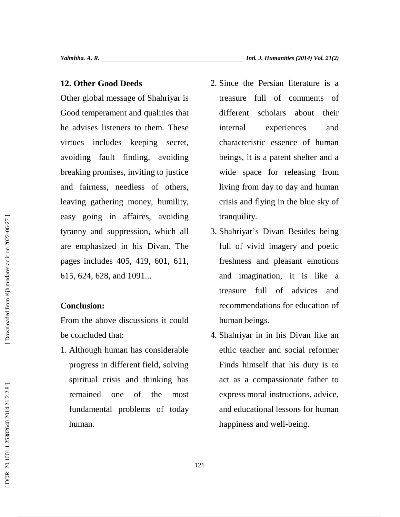### **12. Other Good Deeds**

Other global message of Shahriyar is Good temperament and qualities that he advises listeners to them. These virtues includes keeping secret, avoiding fault finding, avoiding breaking promises, inviting to justice and fairness, needless of others, leaving gathering money, humility, easy going in affaires, avoiding tyranny and suppression, which all are emphasized in his Divan. The pages includes 405, 419, 601, 611, 615, 624, 628, and 1091... 2. Since the Persian literature is a<br>
ner global message of Shahriyar is treasure full of comments of<br>
nergation message of Shahriyar is treasure full of comments of<br>
arithmest different scholars about their<br>
advises liste

### **Conclusion:**

From the above discussions it could be concluded that:

1. Although human has considerable progress in different field, solving spiritual crisis and thinking has remained one of the most fundamental problems of today

- treasure full of comments of different scholars about their experiences and characteristic essence of human beings, it is a patent shelter and a wide space for releasing from living from day to day and human crisis and flying in the blue sky of tranquility.
- 3. Shahriyar's Divan Besides being full of vivid imagery and poetic freshness and pleasant emotions and imagination, it is like a treasure full of advices and recommendations for education of human beings.
- 4. Shahriyar in in his Divan like an ethic teacher and social reformer Finds himself that his duty is to act as a compassionate father to express moral instructions, advice, and educational lessons for human happiness and well-being.

Downloaded from eijh.modares.ac.ir on 2022-06-27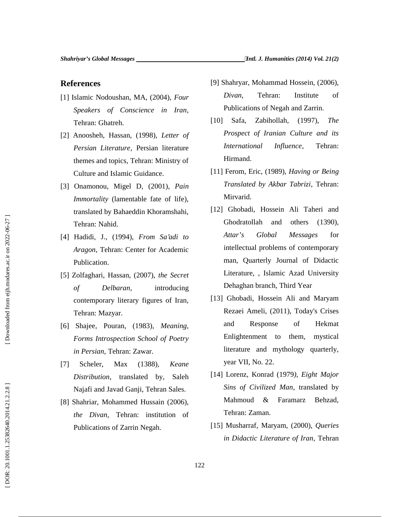### **References**

- [1] Islamic Nodoushan, MA, (2004), *Four Speakers of Conscience in Iran*, Tehran: Ghatreh.
- [2] Anoosheh, Hassan, (1998), *Letter of Persian Literature*, Persian literature themes and topics, Tehran: Ministry of Culture and Islamic Guidance.
- [3] Onamonou, Migel D, (2001), *Pain Immortality* (lamentable fate of life), translated by Bahaeddin Khoramshahi, Tehran: Nahid.
- [4] Hadidi, J., (1994), *From Sa'adi to Aragon*, Tehran: Center for Academic Publication.
- [5] Zolfaghari, Hassan, (2007), *the Secret of Delbaran*, introducing contemporary literary figures of Iran, Tehran: Mazyar.
- [6] Shajee, Pouran, (1983), *Meaning, Forms Introspection School of Poetry in Persian*, Tehran: Zawar.
- [7] Scheler, Max (1388), *Keane Distribution*, translated by, Saleh Najafi and Javad Ganji, Tehran Sales.
- [8] Shahriar, Mohammed Hussain (2006), *the Divan*, Tehran: institution of
- *Divan*, Tehran: Institute of Publications of Negah and Zarrin.
- [10] Safa, Zabihollah, (1997), *The Prospect of Iranian Culture and its International Influence*, Tehran: Hirmand.
- [11] Ferom, Eric, (1989), *Having or Being Translated by Akbar Tabrizi*, Tehran: Mirvarid.
- **Example 12** (9) Shahryar, Mohammad Hossein, (2006),<br>
slamic Nodoushan, MA, (2004), Four (1607), The The United into Negah and Zarrin.<br>
Tehnan: Ghaten. (1998), Letter of Prospect of Icealn and Zarrin.<br>
Tehnan: Ghaten. (199 [12] Ghobadi, Hossein Ali Taheri and Ghodratollah and others (1390), *Attar's Global Messages* for intellectual problems of contemporary man, Quarterly Journal of Didactic Literature, , Islamic Azad University Dehaghan branch, Third Year
	- [13] Ghobadi, Hossein Ali and Maryam Rezaei Ameli, (2011), Today's Crises and Response of Hekmat Enlightenment to them, mystical literature and mythology quarterly, year VII, No. 22.
	- [14] Lorenz, Konrad (1979*), Eight Major Sins of Civilized Man*, translated by Mahmoud & Faramarz Behzad, Tehran: Zaman.
	- [15] Musharraf, Maryam, (2000), *Queries in Didactic Literature of Iran*, Tehran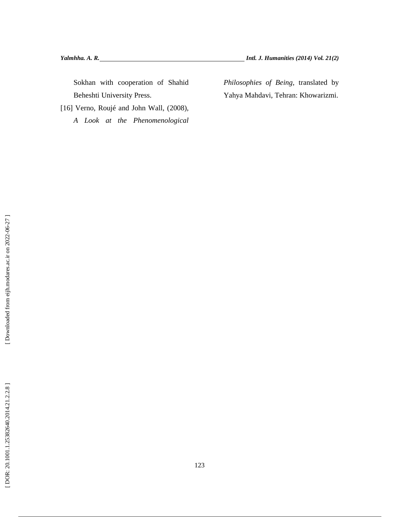Sokhan with cooperation of Shahid Beheshti University Press.

[16] Verno, Roujé and John Wall, (2008), *A Look at the Phenomenological* *Philosophies of Being,* translated by Yahya Mahdavi, Tehran: Khowarizmi.